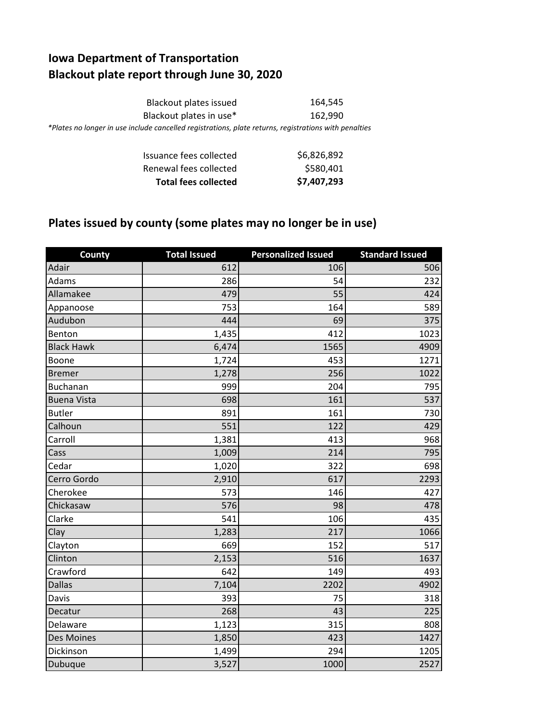## **Iowa Department of Transportation Blackout plate report through June 30, 2020**

| Blackout plates issued                                                                                | 164.545 |
|-------------------------------------------------------------------------------------------------------|---------|
| Blackout plates in use*                                                                               | 162.990 |
| *Plates no longer in use include cancelled registrations, plate returns, registrations with penalties |         |

| <b>Total fees collected</b> | \$7,407,293 |
|-----------------------------|-------------|
| Renewal fees collected      | \$580,401   |
| Issuance fees collected     | \$6,826,892 |

## **Plates issued by county (some plates may no longer be in use)**

| <b>County</b>      | <b>Total Issued</b> | <b>Personalized Issued</b> | <b>Standard Issued</b> |
|--------------------|---------------------|----------------------------|------------------------|
| Adair              | 612                 | 106                        | 506                    |
| Adams              | 286                 | 54                         | 232                    |
| Allamakee          | 479                 | 55                         | 424                    |
| Appanoose          | 753                 | 164                        | 589                    |
| Audubon            | 444                 | 69                         | 375                    |
| Benton             | 1,435               | 412                        | 1023                   |
| <b>Black Hawk</b>  | 6,474               | 1565                       | 4909                   |
| Boone              | 1,724               | 453                        | 1271                   |
| <b>Bremer</b>      | 1,278               | 256                        | 1022                   |
| <b>Buchanan</b>    | 999                 | 204                        | 795                    |
| <b>Buena Vista</b> | 698                 | 161                        | 537                    |
| <b>Butler</b>      | 891                 | 161                        | 730                    |
| Calhoun            | 551                 | 122                        | 429                    |
| Carroll            | 1,381               | 413                        | 968                    |
| Cass               | 1,009               | 214                        | 795                    |
| Cedar              | 1,020               | 322                        | 698                    |
| Cerro Gordo        | 2,910               | 617                        | 2293                   |
| Cherokee           | 573                 | 146                        | 427                    |
| Chickasaw          | 576                 | 98                         | 478                    |
| Clarke             | 541                 | 106                        | 435                    |
| Clay               | 1,283               | 217                        | 1066                   |
| Clayton            | 669                 | 152                        | 517                    |
| Clinton            | 2,153               | 516                        | 1637                   |
| Crawford           | 642                 | 149                        | 493                    |
| <b>Dallas</b>      | 7,104               | 2202                       | 4902                   |
| Davis              | 393                 | 75                         | 318                    |
| Decatur            | 268                 | 43                         | 225                    |
| Delaware           | 1,123               | 315                        | 808                    |
| Des Moines         | 1,850               | 423                        | 1427                   |
| Dickinson          | 1,499               | 294                        | 1205                   |
| Dubuque            | 3,527               | 1000                       | 2527                   |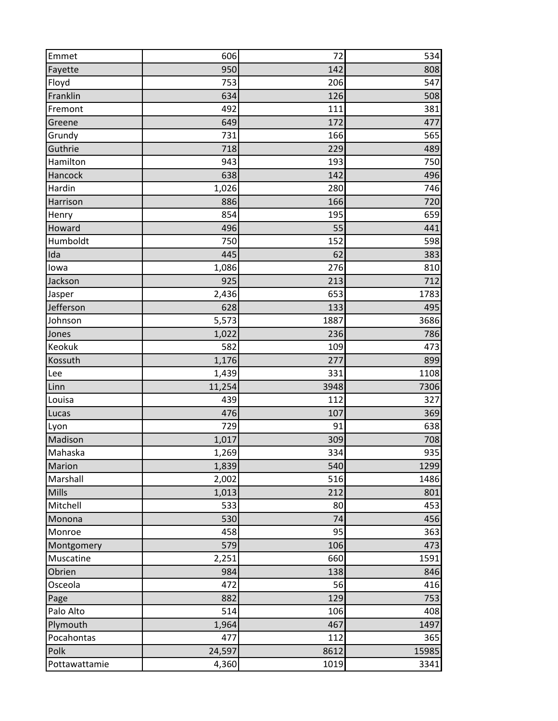| Emmet         | 606    | 72   | 534   |
|---------------|--------|------|-------|
| Fayette       | 950    | 142  | 808   |
| Floyd         | 753    | 206  | 547   |
| Franklin      | 634    | 126  | 508   |
| Fremont       | 492    | 111  | 381   |
| Greene        | 649    | 172  | 477   |
| Grundy        | 731    | 166  | 565   |
| Guthrie       | 718    | 229  | 489   |
| Hamilton      | 943    | 193  | 750   |
| Hancock       | 638    | 142  | 496   |
| Hardin        | 1,026  | 280  | 746   |
| Harrison      | 886    | 166  | 720   |
| Henry         | 854    | 195  | 659   |
| Howard        | 496    | 55   | 441   |
| Humboldt      | 750    | 152  | 598   |
| Ida           | 445    | 62   | 383   |
| lowa          | 1,086  | 276  | 810   |
| Jackson       | 925    | 213  | 712   |
| Jasper        | 2,436  | 653  | 1783  |
| Jefferson     | 628    | 133  | 495   |
| Johnson       | 5,573  | 1887 | 3686  |
| Jones         | 1,022  | 236  | 786   |
| Keokuk        | 582    | 109  | 473   |
| Kossuth       | 1,176  | 277  | 899   |
| Lee           | 1,439  | 331  | 1108  |
| Linn          | 11,254 | 3948 | 7306  |
| Louisa        | 439    | 112  | 327   |
| Lucas         | 476    | 107  | 369   |
| Lyon          | 729    | 91   | 638   |
| Madison       | 1,017  | 309  | 708   |
| Mahaska       | 1,269  | 334  | 935   |
| Marion        | 1,839  | 540  | 1299  |
| Marshall      | 2,002  | 516  | 1486  |
| Mills         | 1,013  | 212  | 801   |
| Mitchell      | 533    | 80   | 453   |
| Monona        | 530    | 74   | 456   |
| Monroe        | 458    | 95   | 363   |
| Montgomery    | 579    | 106  | 473   |
| Muscatine     | 2,251  | 660  | 1591  |
| Obrien        | 984    | 138  | 846   |
| Osceola       | 472    | 56   | 416   |
| Page          | 882    | 129  | 753   |
| Palo Alto     | 514    | 106  | 408   |
| Plymouth      | 1,964  | 467  | 1497  |
| Pocahontas    | 477    | 112  | 365   |
| Polk          | 24,597 | 8612 | 15985 |
| Pottawattamie | 4,360  | 1019 | 3341  |